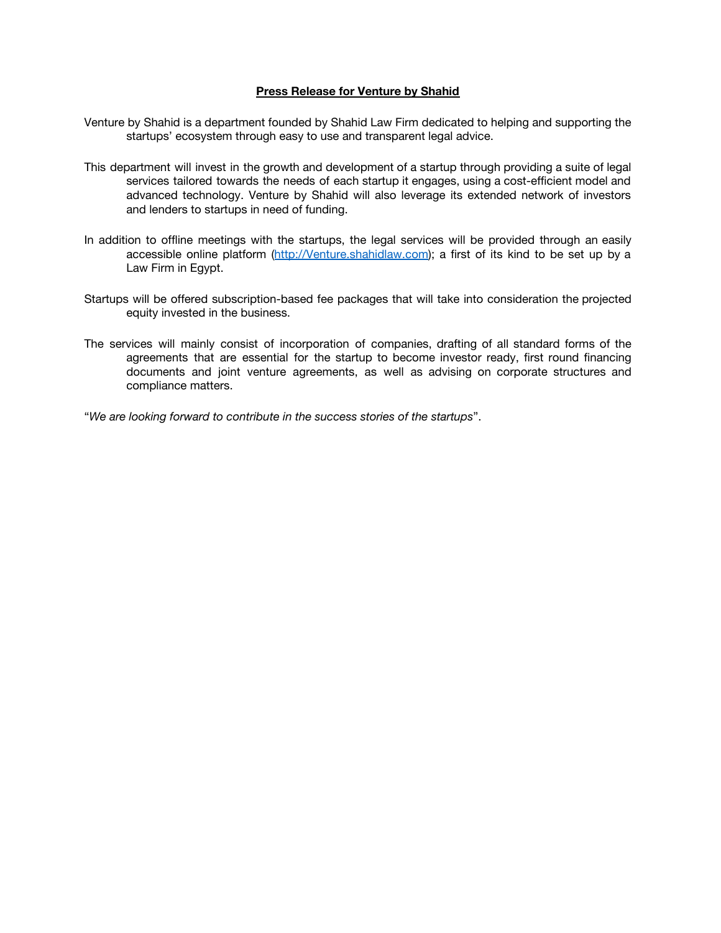## **Press Release for Venture by Shahid**

- Venture by Shahid is a department founded by Shahid Law Firm dedicated to helping and supporting the startups' ecosystem through easy to use and transparent legal advice.
- This department will invest in the growth and development of a startup through providing a suite of legal services tailored towards the needs of each startup it engages, using a cost-efficient model and advanced technology. Venture by Shahid will also leverage its extended network of investors and lenders to startups in need of funding.
- In addition to offline meetings with the startups, the legal services will be provided through an easily accessible online platform [\(http://Venture.shahidlaw.com\)](http://venture.shahidlaw.com/); a first of its kind to be set up by a Law Firm in Egypt.
- Startups will be offered subscription-based fee packages that will take into consideration the projected equity invested in the business.
- The services will mainly consist of incorporation of companies, drafting of all standard forms of the agreements that are essential for the startup to become investor ready, first round financing documents and joint venture agreements, as well as advising on corporate structures and compliance matters.

"*We are looking forward to contribute in the success stories of the startups*".